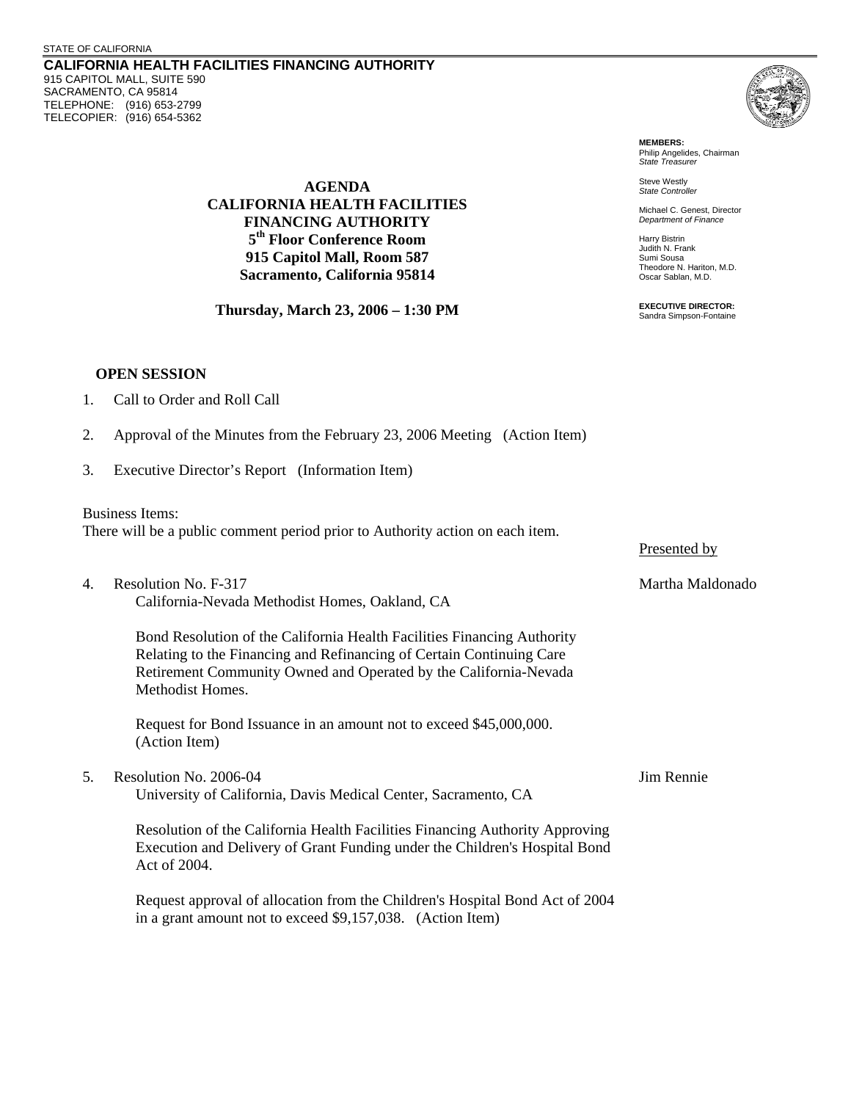**CALIFORNIA HEALTH FACILITIES FINANCING AUTHORITY**  915 CAPITOL MALL, SUITE 590 SACRAMENTO, CA 95814 TELEPHONE: (916) 653-2799 TELECOPIER: (916) 654-5362



**MEMBERS:** Philip Angelides, Chairman *State Treasurer*

Steve Westly *State Controller* 

Michael C. Genest, Director *Department of Finance*

Harry Bistrin Judith N. Frank Sumi Sousa Theodore N. Hariton, M.D. Oscar Sablan, M.D.

**EXECUTIVE DIRECTOR:** Sandra Simpson-Fontaine

**AGENDA CALIFORNIA HEALTH FACILITIES FINANCING AUTHORITY 5th Floor Conference Room 915 Capitol Mall, Room 587 Sacramento, California 95814** 

**Thursday, March 23, 2006 – 1:30 PM**

## **OPEN SESSION**

| 1. | Call to Order and Roll Call |  |  |
|----|-----------------------------|--|--|
|    |                             |  |  |

- 2. Approval of the Minutes from the February 23, 2006 Meeting (Action Item)
- 3. Executive Director's Report (Information Item)

Business Items:

There will be a public comment period prior to Authority action on each item.

4. Resolution No. F-317 Martha Maldonado California-Nevada Methodist Homes, Oakland, CA

Bond Resolution of the California Health Facilities Financing Authority Relating to the Financing and Refinancing of Certain Continuing Care Retirement Community Owned and Operated by the California-Nevada Methodist Homes.

Request for Bond Issuance in an amount not to exceed \$45,000,000. (Action Item)

5. Resolution No. 2006-04 Jim Rennie University of California, Davis Medical Center, Sacramento, CA

Resolution of the California Health Facilities Financing Authority Approving Execution and Delivery of Grant Funding under the Children's Hospital Bond Act of 2004.

Request approval of allocation from the Children's Hospital Bond Act of 2004 in a grant amount not to exceed \$9,157,038. (Action Item)

Presented by